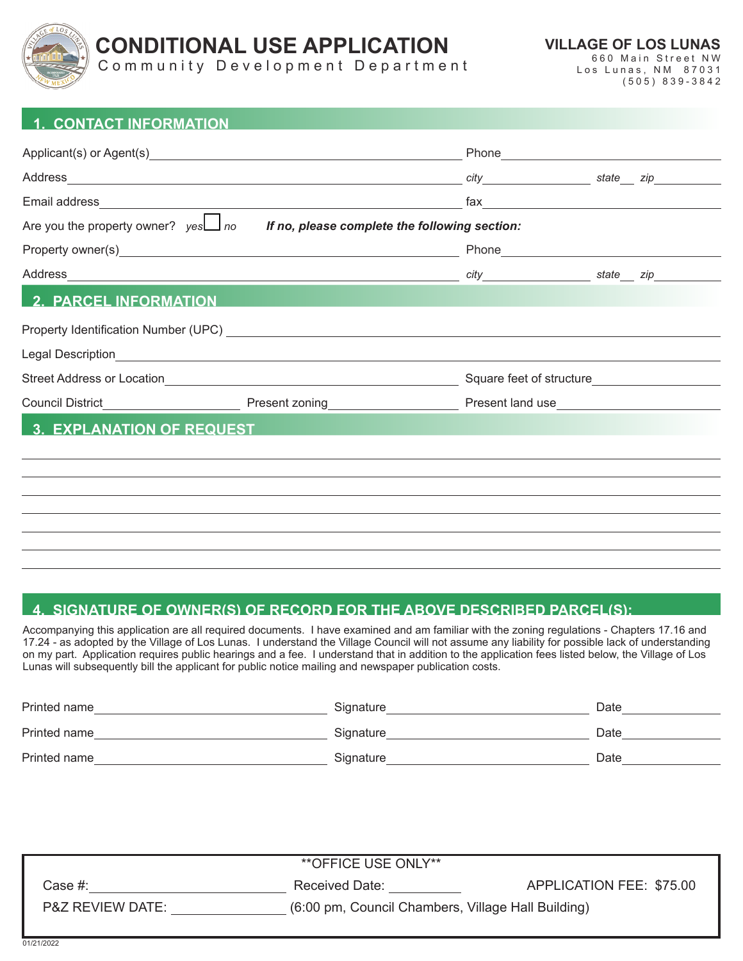

# **CONDITIONAL USE APPLICATION**

**VILLAGE OF LOS LUNAS** 660 Main Street NW

Community Development Department

Los Lunas, NM 87031 (505) 839-3842

#### **1. CONTACT INFORMATION**

|                                                                                         |  | Phone Phone Phone Phone Phone Phone Phone Phone Phone Phone Phone Phone Phone Phone Phone Phone Phone Phone Phone Phone Phone Phone Phone Phone Phone Phone Phone Phone Phone Phone Phone Phone Phone Phone Phone Phone Phone |  |  |  |
|-----------------------------------------------------------------------------------------|--|-------------------------------------------------------------------------------------------------------------------------------------------------------------------------------------------------------------------------------|--|--|--|
|                                                                                         |  |                                                                                                                                                                                                                               |  |  |  |
|                                                                                         |  |                                                                                                                                                                                                                               |  |  |  |
| Are you the property owner? $yes \Box$ no If no, please complete the following section: |  |                                                                                                                                                                                                                               |  |  |  |
|                                                                                         |  |                                                                                                                                                                                                                               |  |  |  |
|                                                                                         |  |                                                                                                                                                                                                                               |  |  |  |
| <b>2. PARCEL INFORMATION</b>                                                            |  |                                                                                                                                                                                                                               |  |  |  |
|                                                                                         |  |                                                                                                                                                                                                                               |  |  |  |
|                                                                                         |  |                                                                                                                                                                                                                               |  |  |  |
|                                                                                         |  | Square feet of structure                                                                                                                                                                                                      |  |  |  |
|                                                                                         |  |                                                                                                                                                                                                                               |  |  |  |
| 3. EXPLANATION OF REQUEST                                                               |  |                                                                                                                                                                                                                               |  |  |  |
|                                                                                         |  |                                                                                                                                                                                                                               |  |  |  |
|                                                                                         |  |                                                                                                                                                                                                                               |  |  |  |
|                                                                                         |  |                                                                                                                                                                                                                               |  |  |  |
|                                                                                         |  |                                                                                                                                                                                                                               |  |  |  |
|                                                                                         |  |                                                                                                                                                                                                                               |  |  |  |
|                                                                                         |  |                                                                                                                                                                                                                               |  |  |  |

# **4. SIGNATURE OF OWNER(S) OF RECORD FOR THE ABOVE DESCRIBED PARCEL(S):**

Accompanying this application are all required documents. I have examined and am familiar with the zoning regulations - Chapters 17.16 and 17.24 - as adopted by the Village of Los Lunas. I understand the Village Council will not assume any liability for possible lack of understanding on my part. Application requires public hearings and a fee. I understand that in addition to the application fees listed below, the Village of Los Lunas will subsequently bill the applicant for public notice mailing and newspaper publication costs.

| Printed name | Signature | Date |
|--------------|-----------|------|
| Printed name | Signature | Date |
| Printed name | Signature | Date |

| <b>**OFFICE USE ONLY**</b>  |                                                    |                          |  |  |  |
|-----------------------------|----------------------------------------------------|--------------------------|--|--|--|
| Case #:                     | Received Date:                                     | APPLICATION FEE: \$75.00 |  |  |  |
| <b>P&amp;Z REVIEW DATE:</b> | (6:00 pm, Council Chambers, Village Hall Building) |                          |  |  |  |